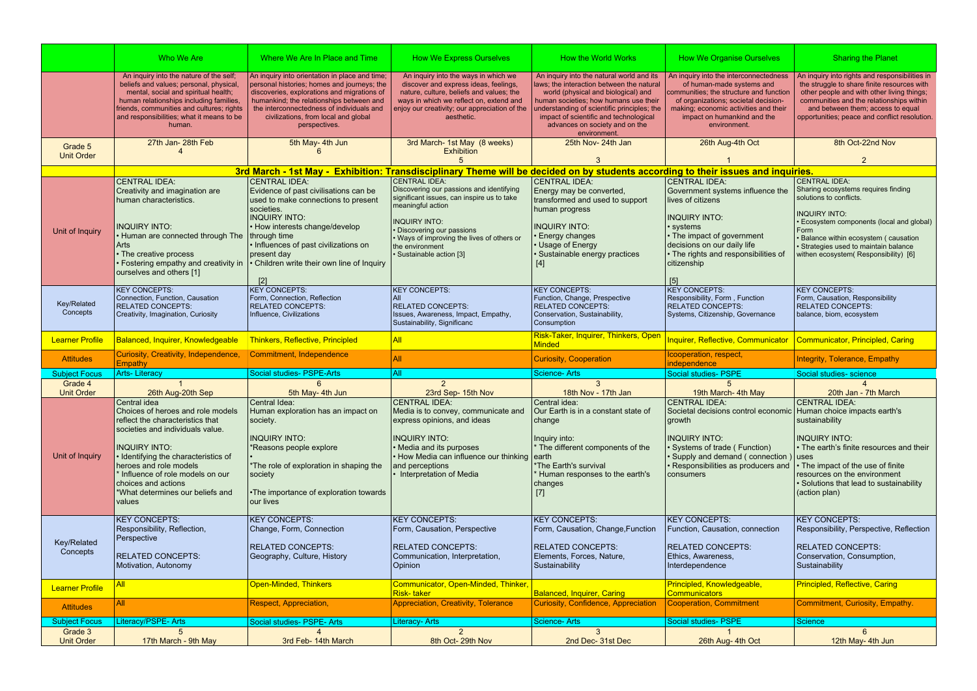|                                 | Who We Are                                                                                                                                                                                                                                                                                                                  | Where We Are In Place and Time                                                                                                                                                                                                                                                                 | <b>How We Express Ourselves</b>                                                                                                                                                                                                          | How the World Works                                                                                                                                                                                                                                                                                               | <b>How We Organise Ourselves</b>                                                                                                                                                                                                                   | <b>Sharing the Planet</b>                                                                                                                                                                                                                                                     |
|---------------------------------|-----------------------------------------------------------------------------------------------------------------------------------------------------------------------------------------------------------------------------------------------------------------------------------------------------------------------------|------------------------------------------------------------------------------------------------------------------------------------------------------------------------------------------------------------------------------------------------------------------------------------------------|------------------------------------------------------------------------------------------------------------------------------------------------------------------------------------------------------------------------------------------|-------------------------------------------------------------------------------------------------------------------------------------------------------------------------------------------------------------------------------------------------------------------------------------------------------------------|----------------------------------------------------------------------------------------------------------------------------------------------------------------------------------------------------------------------------------------------------|-------------------------------------------------------------------------------------------------------------------------------------------------------------------------------------------------------------------------------------------------------------------------------|
|                                 | An inquiry into the nature of the self;<br>beliefs and values; personal, physical,<br>mental, social and spiritual health;<br>human relationships including families,<br>friends, communities and cultures; rights<br>and responsibilities; what it means to be<br>human.                                                   | An inquiry into orientation in place and time;<br>personal histories; homes and journeys; the<br>discoveries, explorations and migrations of<br>humankind; the relationships between and<br>the interconnectedness of individuals and<br>civilizations, from local and global<br>perspectives. | An inquiry into the ways in which we<br>discover and express ideas, feelings,<br>nature, culture, beliefs and values; the<br>ways in which we reflect on, extend and<br>enjoy our creativity; our appreciation of the<br>aesthetic.      | An inquiry into the natural world and its<br>laws; the interaction between the natural<br>world (physical and biological) and<br>human societies; how humans use their<br>understanding of scientific principles; the<br>impact of scientific and technological<br>advances on society and on the<br>environment. | An inquiry into the interconnectedness<br>of human-made systems and<br>communities; the structure and function<br>of organizations; societal decision-<br>making; economic activities and their<br>impact on humankind and the<br>environment.     | An inquiry into rights and responsibilities in<br>the struggle to share finite resources with<br>other people and with other living things;<br>communities and the relationships within<br>and between them; access to equal<br>opportunities; peace and conflict resolution. |
| Grade 5<br><b>Unit Order</b>    | 27th Jan- 28th Feb                                                                                                                                                                                                                                                                                                          | 5th May- 4th Jun                                                                                                                                                                                                                                                                               | 3rd March- 1st May (8 weeks)<br><b>Exhibition</b>                                                                                                                                                                                        | 25th Nov-24th Jan                                                                                                                                                                                                                                                                                                 | 26th Aug-4th Oct                                                                                                                                                                                                                                   | 8th Oct-22nd Nov                                                                                                                                                                                                                                                              |
|                                 |                                                                                                                                                                                                                                                                                                                             | 3rd March - 1st May - Exhibition: Transdisciplinary Theme will be decided on by students according to their issues and inquiries.                                                                                                                                                              |                                                                                                                                                                                                                                          |                                                                                                                                                                                                                                                                                                                   |                                                                                                                                                                                                                                                    |                                                                                                                                                                                                                                                                               |
| Unit of Inquiry                 | <b>CENTRAL IDEA:</b><br>Creativity and imagination are<br>human characteristics.<br><b>INQUIRY INTO:</b><br>• Human are connected through The                                                                                                                                                                               | <b>CENTRAL IDEA:</b><br>Evidence of past civilisations can be<br>used to make connections to present<br>societies.<br><b>INQUIRY INTO:</b><br>• How interests change/develop<br>through time                                                                                                   | <b>CENTRAL IDEA:</b><br>Discovering our passions and identifying<br>significant issues, can inspire us to take<br>meaningful action<br><b>INQUIRY INTO:</b><br>• Discovering our passions<br>• Ways of improving the lives of others or  | <b>CENTRAL IDEA:</b><br>Energy may be converted,<br>transformed and used to support<br>human progress<br><b>INQUIRY INTO:</b><br><b>Energy changes</b>                                                                                                                                                            | <b>CENTRAL IDEA:</b><br>Government systems influence the<br>lives of citizens<br><b>INQUIRY INTO:</b><br>systems<br>• The impact of government                                                                                                     | <b>CENTRAL IDEA:</b><br>Sharing ecosystems requires finding<br>solutions to conflicts.<br><b>INQUIRY INTO:</b><br>• Ecosystem components (local and global)<br>Form<br>· Balance within ecosystem ( causation                                                                 |
|                                 | Arts<br>• The creative process<br>· Fostering empathy and creativity in<br>ourselves and others [1]                                                                                                                                                                                                                         | · Influences of past civilizations on<br>present day<br>• Children write their own line of Inquiry<br>[2]                                                                                                                                                                                      | the environment<br>· Sustainable action [3]                                                                                                                                                                                              | • Usage of Energy<br>· Sustainable energy practices<br>$[4]$                                                                                                                                                                                                                                                      | decisions on our daily life<br>• The rights and responsibilities of<br>citizenship<br>[5]                                                                                                                                                          | · Strategies used to maintain balance<br>withen ecosystem(Responsibility) [6]                                                                                                                                                                                                 |
| Key/Related<br>Concepts         | <b>KEY CONCEPTS:</b><br>Connection, Function, Causation<br><b>RELATED CONCEPTS:</b><br>Creativity, Imagination, Curiosity                                                                                                                                                                                                   | <b>KEY CONCEPTS:</b><br>Form, Connection, Reflection<br><b>RELATED CONCEPTS:</b><br>Influence, Civilizations                                                                                                                                                                                   | <b>KEY CONCEPTS:</b><br><b>RELATED CONCEPTS:</b><br>Issues, Awareness, Impact, Empathy,<br>Sustainability, Significanc                                                                                                                   | <b>KEY CONCEPTS:</b><br>Function, Change, Prespective<br><b>RELATED CONCEPTS:</b><br>Conservation, Sustainability,<br>Consumption                                                                                                                                                                                 | <b>KEY CONCEPTS:</b><br>Responsibility, Form, Function<br><b>RELATED CONCEPTS:</b><br>Systems, Citizenship, Governance                                                                                                                             | <b>KEY CONCEPTS:</b><br>Form, Causation, Responsibility<br><b>RELATED CONCEPTS:</b><br>balance, biom, ecosystem                                                                                                                                                               |
| <b>Learner Profile</b>          | <b>Balanced, Inquirer, Knowledgeable</b>                                                                                                                                                                                                                                                                                    | Thinkers, Reflective, Principled                                                                                                                                                                                                                                                               | <b>All</b>                                                                                                                                                                                                                               | Risk-Taker, Inquirer, Thinkers, Open                                                                                                                                                                                                                                                                              | Inquirer, Reflective, Communicator                                                                                                                                                                                                                 | Communicator, Principled, Caring                                                                                                                                                                                                                                              |
|                                 |                                                                                                                                                                                                                                                                                                                             |                                                                                                                                                                                                                                                                                                |                                                                                                                                                                                                                                          | <b>Minded</b>                                                                                                                                                                                                                                                                                                     |                                                                                                                                                                                                                                                    |                                                                                                                                                                                                                                                                               |
| <b>Attitudes</b>                | Curiosity, Creativity, Independence,<br><b>Empathy</b>                                                                                                                                                                                                                                                                      | Commitment, Independence                                                                                                                                                                                                                                                                       | <b>All</b>                                                                                                                                                                                                                               | <b>Curiosity, Cooperation</b>                                                                                                                                                                                                                                                                                     | Icooperation, respect,<br>independence                                                                                                                                                                                                             | Integrity, Tolerance, Empathy                                                                                                                                                                                                                                                 |
| <b>Subject Focus</b>            | <b>Arts-Literacy</b>                                                                                                                                                                                                                                                                                                        | Social studies- PSPE-Arts                                                                                                                                                                                                                                                                      | All                                                                                                                                                                                                                                      | Science-Arts                                                                                                                                                                                                                                                                                                      | Social studies- PSPE                                                                                                                                                                                                                               | Social studies- science                                                                                                                                                                                                                                                       |
| Grade 4<br><b>Unit Order</b>    | 26th Aug-20th Sep                                                                                                                                                                                                                                                                                                           | ĥ<br>5th May- 4th Jun                                                                                                                                                                                                                                                                          | 2<br>23rd Sep- 15th Nov                                                                                                                                                                                                                  | $\mathbf{3}$<br>18th Nov - 17th Jan                                                                                                                                                                                                                                                                               | 5.<br>19th March- 4th May                                                                                                                                                                                                                          | 20th Jan - 7th March                                                                                                                                                                                                                                                          |
| Unit of Inquiry                 | Central idea<br>Choices of heroes and role models<br>reflect the characteristics that<br>societies and individuals value.<br><b>INQUIRY INTO:</b><br>· Identifying the characteristics of<br>heroes and role models<br>Influence of role models on our<br>choices and actions<br>*What determines our beliefs and<br>values | Central Idea:<br>Human exploration has an impact on<br>society.<br><b>INQUIRY INTO:</b><br>*Reasons people explore<br>*The role of exploration in shaping the<br>society<br>•The importance of exploration towards<br>our lives                                                                | <b>CENTRAL IDEA:</b><br>Media is to convey, communicate and<br>express opinions, and ideas<br><b>INQUIRY INTO:</b><br>• Media and its purposes<br>• How Media can influence our thinking<br>and perceptions<br>• Interpretation of Media | Central idea:<br>Our Earth is in a constant state of<br>change<br>Inquiry into:<br>* The different components of the<br>∣earth<br>*The Earth's survival<br>Human responses to the earth's<br>changes<br>$[7]$                                                                                                     | <b>CENTRAL IDEA:</b><br>Societal decisions control economic   Human choice impacts earth's<br>growth<br><b>INQUIRY INTO:</b><br>Systems of trade (Function)<br>· Supply and demand (connection<br>· Responsibilities as producers and<br>consumers | <b>CENTRAL IDEA:</b><br>sustainability<br><b>INQUIRY INTO:</b><br>• The earth's finite resources and their<br>uses<br>• The impact of the use of finite<br>resources on the environment<br>• Solutions that lead to sustainability<br>(action plan)                           |
| Key/Related<br>Concepts         | <b>KEY CONCEPTS:</b><br>Responsibility, Reflection,<br>Perspective<br><b>RELATED CONCEPTS:</b><br>Motivation, Autonomy                                                                                                                                                                                                      | <b>KEY CONCEPTS:</b><br>Change, Form, Connection<br><b>RELATED CONCEPTS:</b><br>Geography, Culture, History                                                                                                                                                                                    | <b>KEY CONCEPTS:</b><br>Form, Causation, Perspective<br><b>RELATED CONCEPTS:</b><br>Communication, Interpretation,<br>Opinion                                                                                                            | <b>KEY CONCEPTS:</b><br>Form, Causation, Change, Function<br><b>RELATED CONCEPTS:</b><br>Elements, Forces, Nature,<br>Sustainability                                                                                                                                                                              | <b>KEY CONCEPTS:</b><br>Function, Causation, connection<br><b>RELATED CONCEPTS:</b><br>Ethics, Awareness,<br>Interdependence                                                                                                                       | <b>KEY CONCEPTS:</b><br>Responsibility, Perspective, Reflection<br><b>RELATED CONCEPTS:</b><br>Conservation, Consumption,<br>Sustainability                                                                                                                                   |
| <b>Learner Profile</b>          |                                                                                                                                                                                                                                                                                                                             | <b>Open-Minded, Thinkers</b>                                                                                                                                                                                                                                                                   | Communicator, Open-Minded, Thinker,<br><b>Risk-taker</b>                                                                                                                                                                                 | <b>Balanced, Inquirer, Caring</b>                                                                                                                                                                                                                                                                                 | Principled, Knowledgeable,<br><b>Communicators</b>                                                                                                                                                                                                 | <b>Principled, Reflective, Caring</b>                                                                                                                                                                                                                                         |
| <b>Attitudes</b>                | All                                                                                                                                                                                                                                                                                                                         | Respect, Appreciation,                                                                                                                                                                                                                                                                         | Appreciation, Creativity, Tolerance                                                                                                                                                                                                      | <b>Curiosity, Confidence, Appreciation</b>                                                                                                                                                                                                                                                                        | <b>Cooperation, Commitment</b>                                                                                                                                                                                                                     | Commitment, Curiosity, Empathy.                                                                                                                                                                                                                                               |
| <b>Subject Focus</b><br>Grade 3 | Literacy/PSPE- Arts                                                                                                                                                                                                                                                                                                         | Social studies- PSPE- Arts                                                                                                                                                                                                                                                                     | <b>Literacy-Arts</b><br>2                                                                                                                                                                                                                | Science-Arts<br>3                                                                                                                                                                                                                                                                                                 | <b>Social studies- PSPE</b>                                                                                                                                                                                                                        | <b>Science</b>                                                                                                                                                                                                                                                                |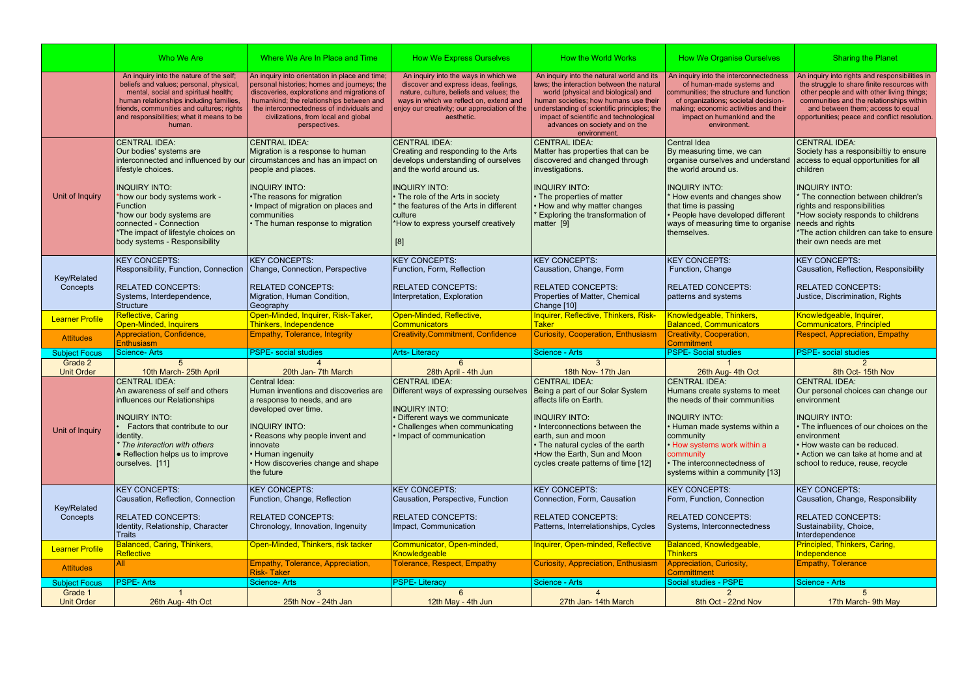|                                 | Who We Are                                                                                                                                                                                                                                                                                                       | Where We Are In Place and Time                                                                                                                                                                                                                                                                 | <b>How We Express Ourselves</b>                                                                                                                                                                                                                                                               | How the World Works                                                                                                                                                                                                                                                                                               | <b>How We Organise Ourselves</b>                                                                                                                                                                                                                                                | <b>Sharing the Planet</b>                                                                                                                                                                                                                                                                                                                       |
|---------------------------------|------------------------------------------------------------------------------------------------------------------------------------------------------------------------------------------------------------------------------------------------------------------------------------------------------------------|------------------------------------------------------------------------------------------------------------------------------------------------------------------------------------------------------------------------------------------------------------------------------------------------|-----------------------------------------------------------------------------------------------------------------------------------------------------------------------------------------------------------------------------------------------------------------------------------------------|-------------------------------------------------------------------------------------------------------------------------------------------------------------------------------------------------------------------------------------------------------------------------------------------------------------------|---------------------------------------------------------------------------------------------------------------------------------------------------------------------------------------------------------------------------------------------------------------------------------|-------------------------------------------------------------------------------------------------------------------------------------------------------------------------------------------------------------------------------------------------------------------------------------------------------------------------------------------------|
|                                 | An inquiry into the nature of the self;<br>beliefs and values; personal, physical,<br>mental, social and spiritual health;<br>human relationships including families,<br>friends, communities and cultures; rights<br>and responsibilities; what it means to be<br>human.                                        | An inquiry into orientation in place and time;<br>personal histories; homes and journeys; the<br>discoveries, explorations and migrations of<br>humankind; the relationships between and<br>the interconnectedness of individuals and<br>civilizations, from local and global<br>perspectives. | An inquiry into the ways in which we<br>discover and express ideas, feelings,<br>nature, culture, beliefs and values; the<br>ways in which we reflect on, extend and<br>enjoy our creativity; our appreciation of the<br>aesthetic.                                                           | An inquiry into the natural world and its<br>laws; the interaction between the natural<br>world (physical and biological) and<br>human societies; how humans use their<br>understanding of scientific principles; the<br>impact of scientific and technological<br>advances on society and on the<br>environment. | An inquiry into the interconnectedness<br>of human-made systems and<br>communities; the structure and function<br>of organizations; societal decision-<br>making; economic activities and their<br>impact on humankind and the<br>environment.                                  | An inquiry into rights and responsibilities in<br>the struggle to share finite resources with<br>other people and with other living things;<br>communities and the relationships within<br>and between them; access to equal<br>opportunities; peace and conflict resolution.                                                                   |
| Unit of Inquiry                 | <b>CENTRAL IDEA:</b><br>Our bodies' systems are<br>interconnected and influenced by our<br>lifestyle choices.<br><b>INQUIRY INTO:</b><br>*how our body systems work -<br>Function<br>*how our body systems are<br>connected - Connection<br>*The impact of lifestyle choices on<br>body systems - Responsibility | <b>CENTRAL IDEA:</b><br>Migration is a response to human<br>circumstances and has an impact on<br>people and places.<br><b>INQUIRY INTO:</b><br>•The reasons for migration<br>• Impact of migration on places and<br>communities<br>• The human response to migration                          | <b>CENTRAL IDEA:</b><br>Creating and responding to the Arts<br>develops understanding of ourselves<br>and the world around us.<br><b>INQUIRY INTO:</b><br>• The role of the Arts in society<br>the features of the Arts in different<br>culture<br>*How to express yourself creatively<br>[8] | <b>CENTRAL IDEA:</b><br>Matter has properties that can be<br>discovered and changed through<br>investigations.<br><b>INQUIRY INTO:</b><br>• The properties of matter<br>• How and why matter changes<br>Exploring the transformation of<br>matter [9]                                                             | Central Idea<br>By measuring time, we can<br>organise ourselves and understand<br>the world around us.<br><b>INQUIRY INTO:</b><br>How events and changes show<br>that time is passing<br>· People have developed different<br>ways of measuring time to organise<br>themselves. | <b>CENTRAL IDEA:</b><br>Society has a responsibiltiy to ensure<br>access to equal opportunities for all<br>children<br><b>INQUIRY INTO:</b><br>The connection between children's<br>rights and responsibilities<br>*How society responds to childrens<br>needs and rights<br>*The action children can take to ensure<br>their own needs are met |
| Key/Related<br>Concepts         | <b>KEY CONCEPTS:</b><br>Responsibility, Function, Connection<br><b>RELATED CONCEPTS:</b><br>Systems, Interdependence,<br>Structure                                                                                                                                                                               | <b>KEY CONCEPTS:</b><br>Change, Connection, Perspective<br><b>RELATED CONCEPTS:</b><br>Migration, Human Condition,<br>Geography                                                                                                                                                                | <b>KEY CONCEPTS:</b><br>Function, Form, Reflection<br><b>RELATED CONCEPTS:</b><br>Interpretation, Exploration                                                                                                                                                                                 | <b>KEY CONCEPTS:</b><br>Causation, Change, Form<br><b>RELATED CONCEPTS:</b><br>Properties of Matter, Chemical<br>Change [10]                                                                                                                                                                                      | <b>KEY CONCEPTS:</b><br>Function, Change<br><b>RELATED CONCEPTS:</b><br>patterns and systems                                                                                                                                                                                    | <b>KEY CONCEPTS:</b><br>Causation, Reflection, Responsibility<br><b>RELATED CONCEPTS:</b><br>Justice, Discrimination, Rights                                                                                                                                                                                                                    |
| <b>Learner Profile</b>          | <b>Reflective, Caring</b><br><b>Open-Minded, Inquirers</b>                                                                                                                                                                                                                                                       | Open-Minded, Inquirer, Risk-Taker,<br>Thinkers, Independence                                                                                                                                                                                                                                   | Open-Minded, Reflective,<br>Communicators                                                                                                                                                                                                                                                     | Inquirer, Reflective, Thinkers, Risk-<br><b>Taker</b>                                                                                                                                                                                                                                                             | Knowledgeable, Thinkers,<br><b>Balanced, Communicators</b>                                                                                                                                                                                                                      | Knowledgeable, Inquirer,                                                                                                                                                                                                                                                                                                                        |
|                                 |                                                                                                                                                                                                                                                                                                                  |                                                                                                                                                                                                                                                                                                |                                                                                                                                                                                                                                                                                               |                                                                                                                                                                                                                                                                                                                   |                                                                                                                                                                                                                                                                                 |                                                                                                                                                                                                                                                                                                                                                 |
| <b>Attitudes</b>                | Appreciation, Confidence,                                                                                                                                                                                                                                                                                        | Empathy, Tolerance, Integrity                                                                                                                                                                                                                                                                  | <b>Creativity, Commitment, Confidence</b>                                                                                                                                                                                                                                                     | <b>Curiosity, Cooperation, Enthusiasm</b>                                                                                                                                                                                                                                                                         | Creativity, Cooperation,<br>Commitment                                                                                                                                                                                                                                          | <b>Communicators, Principled</b><br><b>Respect, Appreciation, Empathy</b>                                                                                                                                                                                                                                                                       |
| <b>Subject Focus</b>            | <b>Enthusiasm</b><br><b>Science-Arts</b>                                                                                                                                                                                                                                                                         | <b>PSPE-</b> social studies                                                                                                                                                                                                                                                                    | <b>Arts-Literacy</b>                                                                                                                                                                                                                                                                          | Science - Arts                                                                                                                                                                                                                                                                                                    | <b>PSPE- Social studies</b>                                                                                                                                                                                                                                                     | <b>PSPE-</b> social studies                                                                                                                                                                                                                                                                                                                     |
| Grade 2<br><b>Unit Order</b>    | 10th March- 25th April                                                                                                                                                                                                                                                                                           | 20th Jan- 7th March                                                                                                                                                                                                                                                                            | 6<br>28th April - 4th Jun                                                                                                                                                                                                                                                                     | $\mathcal{R}$<br>18th Nov- 17th Jan                                                                                                                                                                                                                                                                               | 26th Aug- 4th Oct                                                                                                                                                                                                                                                               | 8th Oct- 15th Nov                                                                                                                                                                                                                                                                                                                               |
| Unit of Inquiry                 | <b>CENTRAL IDEA:</b><br>An awareness of self and others<br>influences our Relationships<br><b>INQUIRY INTO:</b><br>Factors that contribute to our<br><i>identity.</i><br>The interaction with others<br>• Reflection helps us to improve<br>ourselves. [11]                                                      | Central Idea:<br>Human inventions and discoveries are<br>a response to needs, and are<br>developed over time.<br><b>INQUIRY INTO:</b><br>• Reasons why people invent and<br>innovate<br>• Human ingenuity<br>• How discoveries change and shape<br>the future                                  | <b>CENTRAL IDEA:</b><br>Different ways of expressing ourselves<br><b>INQUIRY INTO:</b><br>Different ways we communicate<br>• Challenges when communicating<br>Impact of communication                                                                                                         | <b>CENTRAL IDEA:</b><br>Being a part of our Solar System<br>affects life on Earth.<br><b>INQUIRY INTO:</b><br>• Interconnections between the<br>earth, sun and moon<br>• The natural cycles of the earth<br>.How the Earth, Sun and Moon<br>cycles create patterns of time [12]                                   | <b>CENTRAL IDEA:</b><br>Humans create systems to meet<br>the needs of their communities<br><b>INQUIRY INTO:</b><br>• Human made systems within a<br>community<br>. How systems work within a<br>community<br>• The interconnectedness of<br>systems within a community [13]     | <b>CENTRAL IDEA:</b><br>Our personal choices can change our<br>environment<br><b>INQUIRY INTO:</b><br>• The influences of our choices on the<br>environment<br>. How waste can be reduced.<br>• Action we can take at home and at<br>school to reduce, reuse, recycle                                                                           |
| Key/Related<br>Concepts         | <b>KEY CONCEPTS:</b><br>Causation, Reflection, Connection<br><b>RELATED CONCEPTS:</b><br>Identity, Relationship, Character<br><b>Traits</b>                                                                                                                                                                      | <b>KEY CONCEPTS:</b><br>Function, Change, Reflection<br><b>RELATED CONCEPTS:</b><br>Chronology, Innovation, Ingenuity                                                                                                                                                                          | <b>KEY CONCEPTS:</b><br>Causation, Perspective, Function<br><b>RELATED CONCEPTS:</b><br>Impact, Communication                                                                                                                                                                                 | <b>KEY CONCEPTS:</b><br>Connection, Form, Causation<br><b>RELATED CONCEPTS:</b><br>Patterns, Interrelationships, Cycles                                                                                                                                                                                           | <b>KEY CONCEPTS:</b><br>Form, Function, Connection<br><b>RELATED CONCEPTS:</b><br>Systems, Interconnectedness                                                                                                                                                                   | <b>KEY CONCEPTS:</b><br>Causation, Change, Responsibility<br>RELATED CONCEPTS:<br>Sustainability, Choice,<br>Interdependence                                                                                                                                                                                                                    |
| <b>Learner Profile</b>          | <b>Balanced, Caring, Thinkers,</b>                                                                                                                                                                                                                                                                               | Open-Minded, Thinkers, risk tacker                                                                                                                                                                                                                                                             | Communicator, Open-minded,                                                                                                                                                                                                                                                                    | Inquirer, Open-minded, Reflective                                                                                                                                                                                                                                                                                 | Balanced, Knowledgeable,                                                                                                                                                                                                                                                        | Principled, Thinkers, Caring,                                                                                                                                                                                                                                                                                                                   |
| <b>Attitudes</b>                | <b>Reflective</b><br>All                                                                                                                                                                                                                                                                                         | Empathy, Tolerance, Appreciation,                                                                                                                                                                                                                                                              | Knowledgeable<br><b>Tolerance, Respect, Empathy</b>                                                                                                                                                                                                                                           | <b>Curiosity, Appreciation, Enthusiasm</b>                                                                                                                                                                                                                                                                        | <b>Thinkers</b><br>Appreciation, Curiosity,                                                                                                                                                                                                                                     | Independence<br><b>Empathy, Tolerance</b>                                                                                                                                                                                                                                                                                                       |
|                                 |                                                                                                                                                                                                                                                                                                                  | Risk-Taker                                                                                                                                                                                                                                                                                     |                                                                                                                                                                                                                                                                                               |                                                                                                                                                                                                                                                                                                                   | <b>Committment</b>                                                                                                                                                                                                                                                              |                                                                                                                                                                                                                                                                                                                                                 |
| <b>Subject Focus</b><br>Grade 1 | <b>PSPE-Arts</b>                                                                                                                                                                                                                                                                                                 | <b>Science-Arts</b><br>$\mathbf{3}$                                                                                                                                                                                                                                                            | <b>PSPE-Literacy</b><br>6                                                                                                                                                                                                                                                                     | Science - Arts                                                                                                                                                                                                                                                                                                    | Social studies - PSPE<br>2                                                                                                                                                                                                                                                      | Science - Arts                                                                                                                                                                                                                                                                                                                                  |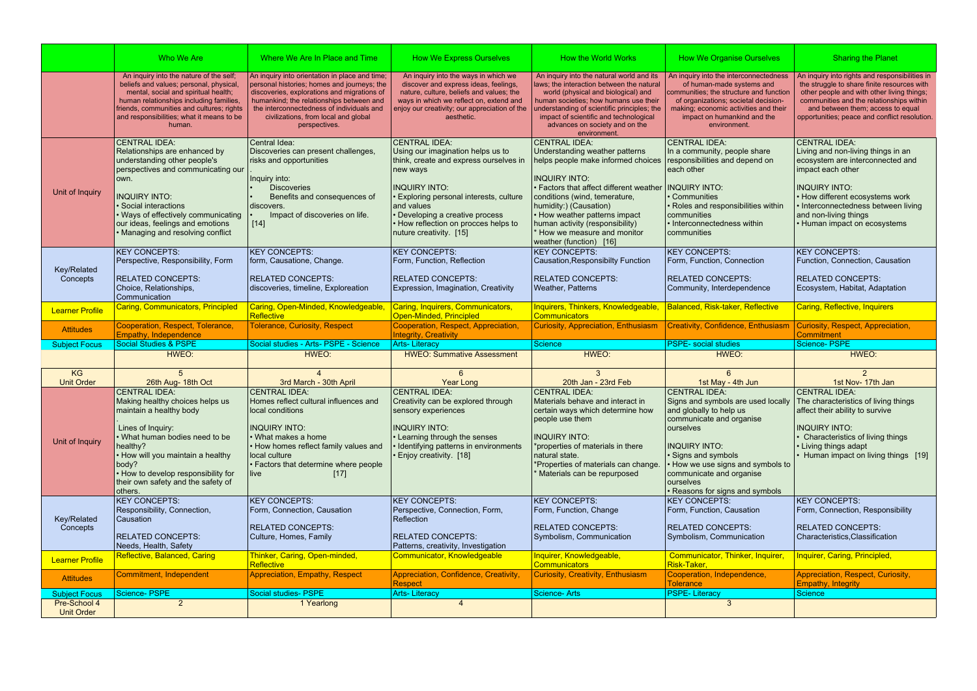|                                   | Who We Are                                                                                                                                                                                                                                                                                   | Where We Are In Place and Time                                                                                                                                                                                                                                                                 | <b>How We Express Ourselves</b>                                                                                                                                                                                                                                                                             | How the World Works                                                                                                                                                                                                                                                                                                                                       | <b>How We Organise Ourselves</b>                                                                                                                                                                                                                                                             | <b>Sharing the Planet</b>                                                                                                                                                                                                                                                      |
|-----------------------------------|----------------------------------------------------------------------------------------------------------------------------------------------------------------------------------------------------------------------------------------------------------------------------------------------|------------------------------------------------------------------------------------------------------------------------------------------------------------------------------------------------------------------------------------------------------------------------------------------------|-------------------------------------------------------------------------------------------------------------------------------------------------------------------------------------------------------------------------------------------------------------------------------------------------------------|-----------------------------------------------------------------------------------------------------------------------------------------------------------------------------------------------------------------------------------------------------------------------------------------------------------------------------------------------------------|----------------------------------------------------------------------------------------------------------------------------------------------------------------------------------------------------------------------------------------------------------------------------------------------|--------------------------------------------------------------------------------------------------------------------------------------------------------------------------------------------------------------------------------------------------------------------------------|
|                                   | An inquiry into the nature of the self;<br>beliefs and values; personal, physical,<br>mental, social and spiritual health;<br>human relationships including families,<br>friends, communities and cultures; rights<br>and responsibilities; what it means to be<br>human.                    | An inquiry into orientation in place and time;<br>personal histories; homes and journeys; the<br>discoveries, explorations and migrations of<br>humankind; the relationships between and<br>the interconnectedness of individuals and<br>civilizations, from local and global<br>perspectives. | An inquiry into the ways in which we<br>discover and express ideas, feelings,<br>nature, culture, beliefs and values; the<br>ways in which we reflect on, extend and<br>enjoy our creativity; our appreciation of the<br>aesthetic.                                                                         | An inquiry into the natural world and its<br>laws; the interaction between the natural<br>world (physical and biological) and<br>human societies; how humans use their<br>understanding of scientific principles; the<br>impact of scientific and technological<br>advances on society and on the<br>environment.                                         | An inquiry into the interconnectedness<br>of human-made systems and<br>communities; the structure and function<br>of organizations; societal decision-<br>making; economic activities and their<br>impact on humankind and the<br>environment.                                               | An inquiry into rights and responsibilities in<br>the struggle to share finite resources with<br>other people and with other living things;<br>communities and the relationships within<br>and between them; access to equal<br>opportunities; peace and conflict resolution.  |
| Unit of Inquiry                   | CENTRAL IDEA:<br>Relationships are enhanced by<br>understanding other people's<br>perspectives and communicating our<br>lown.<br><b>INQUIRY INTO:</b><br>Social interactions<br>• Ways of effectively communicating<br>our ideas, feelings and emotions<br>• Managing and resolving conflict | Central Idea:<br>Discoveries can present challenges,<br>risks and opportunities<br>Inquiry into:<br><b>Discoveries</b><br>Benefits and consequences of<br>discovers.<br>Impact of discoveries on life.<br>$[14]$                                                                               | <b>CENTRAL IDEA:</b><br>Using our imagination helps us to<br>think, create and express ourselves in<br>new ways<br><b>INQUIRY INTO:</b><br><b>Exploring personal interests, culture</b><br>and values<br>• Developing a creative process<br>• How reflection on procces helps to<br>nuture creativity. [15] | <b>CENTRAL IDEA:</b><br>Understanding weather patterns<br>helps people make informed choices<br><b>INQUIRY INTO:</b><br>• Factors that affect different weather<br>conditions (wind, temerature,<br>humidity:) (Causation)<br>• How weather patterns impact<br>human activity (responsibility)<br>* How we measure and monitor<br>weather (function) [16] | <b>CENTRAL IDEA:</b><br>In a community, people share<br>responsibilities and depend on<br>each other<br><b>INQUIRY INTO:</b><br>Communities<br>Roles and responsibilities within<br>communities<br>• Interconnectedness within<br>communities                                                | <b>CENTRAL IDEA:</b><br>Living and non-living things in an<br>ecosystem are interconnected and<br>impact each other<br><b>INQUIRY INTO:</b><br>• How different ecosystems work<br>• Interconnectedness between living<br>and non-living things<br>• Human impact on ecosystems |
| Key/Related<br>Concepts           | <b>KEY CONCEPTS:</b><br>Perspective, Responsibility, Form<br><b>RELATED CONCEPTS:</b><br>Choice, Relationships,<br><b>Communication</b>                                                                                                                                                      | <b>KEY CONCEPTS:</b><br>form, Causatione, Change.<br><b>RELATED CONCEPTS:</b><br>discoveries, timeline, Exploreation                                                                                                                                                                           | <b>KEY CONCEPTS:</b><br>Form, Function, Reflection<br><b>RELATED CONCEPTS:</b><br>Expression, Imagination, Creativity                                                                                                                                                                                       | <b>KEY CONCEPTS:</b><br><b>Causation, Responsibilty Function</b><br><b>RELATED CONCEPTS:</b><br>Weather, Patterns                                                                                                                                                                                                                                         | <b>KEY CONCEPTS:</b><br>Form, Function, Connection<br><b>RELATED CONCEPTS:</b><br>Community, Interdependence                                                                                                                                                                                 | <b>KEY CONCEPTS:</b><br>Function, Connection, Causation<br><b>RELATED CONCEPTS:</b><br>Ecosystem, Habitat, Adaptation                                                                                                                                                          |
| <b>Learner Profile</b>            | <b>Caring, Communicators, Principled</b>                                                                                                                                                                                                                                                     | Caring, Open-Minded, Knowledgeable,<br>Reflective                                                                                                                                                                                                                                              | Caring, Inquirers, Communicators,<br>Open-Minded, Principled                                                                                                                                                                                                                                                | <b>Inquirers, Thinkers, Knowledgeable,</b><br><b>Communicators</b>                                                                                                                                                                                                                                                                                        | Balanced, Risk-taker, Reflective                                                                                                                                                                                                                                                             | <b>Caring, Reflective, Inquirers</b>                                                                                                                                                                                                                                           |
|                                   | Cooperation, Respect, Tolerance,                                                                                                                                                                                                                                                             | <b>Tolerance, Curiosity, Respect</b>                                                                                                                                                                                                                                                           | Cooperation, Respect, Appreciation,                                                                                                                                                                                                                                                                         | <b>Curiosity, Appreciation, Enthusiasm</b>                                                                                                                                                                                                                                                                                                                | Creativity, Confidence, Enthusiasm                                                                                                                                                                                                                                                           | Curiosity, Respect, Appreciation,                                                                                                                                                                                                                                              |
| <b>Attitudes</b>                  | <b>Empathy, Independence</b>                                                                                                                                                                                                                                                                 |                                                                                                                                                                                                                                                                                                | <b>Integrity, Creativity</b>                                                                                                                                                                                                                                                                                |                                                                                                                                                                                                                                                                                                                                                           |                                                                                                                                                                                                                                                                                              | <b>Commitment</b>                                                                                                                                                                                                                                                              |
| <b>Subject Focus</b>              | <b>Social Studies &amp; PSPE</b>                                                                                                                                                                                                                                                             | Social studies - Arts- PSPE - Science                                                                                                                                                                                                                                                          | <b>Arts-Literacy</b>                                                                                                                                                                                                                                                                                        | <b>Science</b>                                                                                                                                                                                                                                                                                                                                            | <b>PSPE-</b> social studies                                                                                                                                                                                                                                                                  | Science- PSPE                                                                                                                                                                                                                                                                  |
|                                   | HWEO:                                                                                                                                                                                                                                                                                        | HWEO:                                                                                                                                                                                                                                                                                          | <b>HWEO: Summative Assessment</b>                                                                                                                                                                                                                                                                           | HWEO:                                                                                                                                                                                                                                                                                                                                                     | HWEO:                                                                                                                                                                                                                                                                                        | HWEO:                                                                                                                                                                                                                                                                          |
| KG<br><b>Unit Order</b>           | 26th Aug- 18th Oct                                                                                                                                                                                                                                                                           | $\boldsymbol{\varDelta}$<br>3rd March - 30th April                                                                                                                                                                                                                                             | 6<br><b>Year Long</b>                                                                                                                                                                                                                                                                                       | 3<br>20th Jan - 23rd Feb                                                                                                                                                                                                                                                                                                                                  | 6<br>1st May - 4th Jun                                                                                                                                                                                                                                                                       | $\mathcal{P}$<br>1st Nov- 17th Jan                                                                                                                                                                                                                                             |
| Unit of Inquiry                   | <b>CENTRAL IDEA:</b><br>Making healthy choices helps us<br>maintain a healthy body<br>Lines of Inquiry:<br>What human bodies need to be<br>healthy?<br>• How will you maintain a healthy<br>body?<br>• How to develop responsibility for<br>their own safety and the safety of<br>others.    | <b>CENTRAL IDEA:</b><br>Homes reflect cultural influences and<br>local conditions<br><b>INQUIRY INTO:</b><br>• What makes a home<br>. How homes reflect family values and<br>local culture<br>• Factors that determine where people<br>live<br>$[17]$                                          | <b>CENTRAL IDEA:</b><br>Creativity can be explored through<br>sensory experiences<br><b>INQUIRY INTO:</b><br>• Learning through the senses<br>Identifying patterns in environments<br>Enjoy creativity. [18]                                                                                                | <b>CENTRAL IDEA:</b><br>Materials behave and interact in<br>certain ways which determine how<br>people use them<br><b>INQUIRY INTO:</b><br>*properties of materials in there<br>natural state.<br>*Properties of materials can change.<br>Materials can be repurposed                                                                                     | <b>CENTRAL IDEA:</b><br>Signs and symbols are used locally<br>and globally to help us<br>communicate and organise<br>ourselves<br><b>INQUIRY INTO:</b><br>· Signs and symbols<br>How we use signs and symbols to<br>communicate and organise<br>ourselves<br>• Reasons for signs and symbols | <b>CENTRAL IDEA:</b><br>The characteristics of living things<br>affect their ability to survive<br><b>INQUIRY INTO:</b><br><b>Characteristics of living things</b><br>• Living things adapt<br>Human impact on living things [19]                                              |
| Key/Related<br>Concepts           | <b>KEY CONCEPTS:</b><br>Responsibility, Connection,<br><b>Causation</b><br><b>RELATED CONCEPTS:</b><br>Needs, Health, Safety                                                                                                                                                                 | <b>KEY CONCEPTS:</b><br>Form, Connection, Causation<br><b>RELATED CONCEPTS:</b><br>Culture, Homes, Family                                                                                                                                                                                      | <b>KEY CONCEPTS:</b><br>Perspective, Connection, Form,<br>Reflection<br><b>RELATED CONCEPTS:</b><br>Patterns, creativity, Investigation                                                                                                                                                                     | <b>KEY CONCEPTS:</b><br>Form, Function, Change<br><b>RELATED CONCEPTS:</b><br>Symbolism, Communication                                                                                                                                                                                                                                                    | <b>KEY CONCEPTS:</b><br>Form, Function, Causation<br><b>RELATED CONCEPTS:</b><br>Symbolism, Communication                                                                                                                                                                                    | <b>KEY CONCEPTS:</b><br>Form, Connection, Responsibility<br><b>RELATED CONCEPTS:</b><br>Characteristics, Classification                                                                                                                                                        |
| <b>Learner Profile</b>            | Reflective, Balanced, Caring                                                                                                                                                                                                                                                                 | Thinker, Caring, Open-minded,                                                                                                                                                                                                                                                                  | Communicator, Knowledgeable                                                                                                                                                                                                                                                                                 | Inquirer, Knowledgeable,                                                                                                                                                                                                                                                                                                                                  | Communicator, Thinker, Inquirer,                                                                                                                                                                                                                                                             | Inquirer, Caring, Principled,                                                                                                                                                                                                                                                  |
| <b>Attitudes</b>                  | Commitment, Independent                                                                                                                                                                                                                                                                      | Reflective<br>Appreciation, Empathy, Respect                                                                                                                                                                                                                                                   | Appreciation, Confidence, Creativity,                                                                                                                                                                                                                                                                       | <b>Communicators</b><br><b>Curiosity, Creativity, Enthusiasm</b>                                                                                                                                                                                                                                                                                          | Risk-Taker,<br>Cooperation, Independence,                                                                                                                                                                                                                                                    | Appreciation, Respect, Curiosity,                                                                                                                                                                                                                                              |
| <b>Subject Focus</b>              | Science- PSPE                                                                                                                                                                                                                                                                                | Social studies- PSPE                                                                                                                                                                                                                                                                           | <b>Respect</b><br><b>Arts-Literacy</b>                                                                                                                                                                                                                                                                      | <b>Science-Arts</b>                                                                                                                                                                                                                                                                                                                                       | <b>Tolerance</b><br><b>PSPE-Literacy</b>                                                                                                                                                                                                                                                     | Empathy, Integrity<br>Science                                                                                                                                                                                                                                                  |
| Pre-School 4<br><b>Unit Order</b> | 2                                                                                                                                                                                                                                                                                            | 1 Yearlong                                                                                                                                                                                                                                                                                     | $\overline{4}$                                                                                                                                                                                                                                                                                              |                                                                                                                                                                                                                                                                                                                                                           | 3                                                                                                                                                                                                                                                                                            |                                                                                                                                                                                                                                                                                |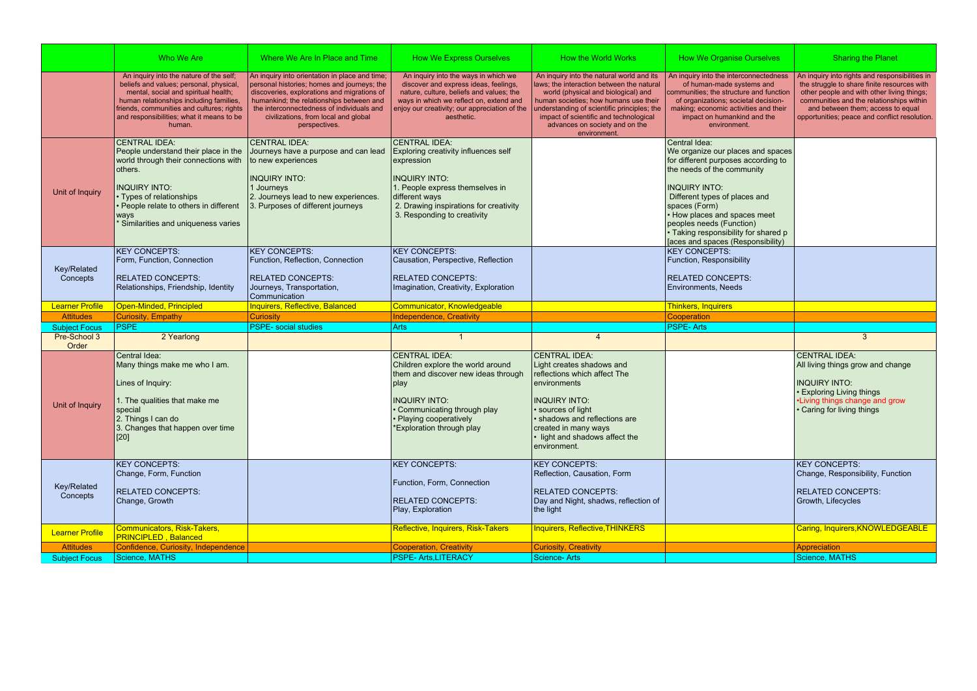|                         | Who We Are                                                                                                                                                                                                                                                                | Where We Are In Place and Time                                                                                                                                                                                                                                                                 | <b>How We Express Ourselves</b>                                                                                                                                                                                                     | How the World Works                                                                                                                                                                                                                                                                                               | <b>How We Organise Ourselves</b>                                                                                                                                                                                                                                                                                                           | <b>Sharing the Planet</b>                                                                                                                                                                                                                                                     |
|-------------------------|---------------------------------------------------------------------------------------------------------------------------------------------------------------------------------------------------------------------------------------------------------------------------|------------------------------------------------------------------------------------------------------------------------------------------------------------------------------------------------------------------------------------------------------------------------------------------------|-------------------------------------------------------------------------------------------------------------------------------------------------------------------------------------------------------------------------------------|-------------------------------------------------------------------------------------------------------------------------------------------------------------------------------------------------------------------------------------------------------------------------------------------------------------------|--------------------------------------------------------------------------------------------------------------------------------------------------------------------------------------------------------------------------------------------------------------------------------------------------------------------------------------------|-------------------------------------------------------------------------------------------------------------------------------------------------------------------------------------------------------------------------------------------------------------------------------|
|                         | An inquiry into the nature of the self;<br>beliefs and values; personal, physical,<br>mental, social and spiritual health;<br>human relationships including families,<br>friends, communities and cultures; rights<br>and responsibilities; what it means to be<br>human. | An inquiry into orientation in place and time;<br>personal histories; homes and journeys; the<br>discoveries, explorations and migrations of<br>humankind; the relationships between and<br>the interconnectedness of individuals and<br>civilizations, from local and global<br>perspectives. | An inquiry into the ways in which we<br>discover and express ideas, feelings,<br>nature, culture, beliefs and values; the<br>ways in which we reflect on, extend and<br>enjoy our creativity; our appreciation of the<br>aesthetic. | An inquiry into the natural world and its<br>laws; the interaction between the natural<br>world (physical and biological) and<br>human societies; how humans use their<br>understanding of scientific principles; the<br>impact of scientific and technological<br>advances on society and on the<br>environment. | An inquiry into the interconnectedness<br>of human-made systems and<br>communities; the structure and function<br>of organizations; societal decision-<br>making; economic activities and their<br>impact on humankind and the<br>environment.                                                                                             | An inquiry into rights and responsibilities in<br>the struggle to share finite resources with<br>other people and with other living things;<br>communities and the relationships within<br>and between them; access to equal<br>opportunities; peace and conflict resolution. |
| Unit of Inquiry         | <b>CENTRAL IDEA:</b><br>People understand their place in the<br>world through their connections with<br>others.<br><b>INQUIRY INTO:</b><br>• Types of relationships<br>People relate to others in different<br>ways<br>Similarities and uniqueness varies                 | <b>CENTRAL IDEA:</b><br>Journeys have a purpose and can lead<br>to new experiences<br><b>INQUIRY INTO:</b><br>1 Journeys<br>2. Journeys lead to new experiences.<br>3. Purposes of different journeys                                                                                          | <b>CENTRAL IDEA:</b><br>Exploring creativity influences self<br>expression<br><b>INQUIRY INTO:</b><br>1. People express themselves in<br>different ways<br>2. Drawing inspirations for creativity<br>3. Responding to creativity    |                                                                                                                                                                                                                                                                                                                   | Central Idea:<br>We organize our places and spaces<br>for different purposes according to<br>the needs of the community<br><b>INQUIRY INTO:</b><br>Different types of places and<br>spaces (Form)<br>• How places and spaces meet<br>peoples needs (Function)<br>• Taking responsibility for shared p<br>[aces and spaces (Responsibility) |                                                                                                                                                                                                                                                                               |
| Key/Related<br>Concepts | <b>KEY CONCEPTS:</b><br>Form, Function, Connection<br><b>RELATED CONCEPTS:</b><br>Relationships, Friendship, Identity                                                                                                                                                     | <b>KEY CONCEPTS:</b><br>Function, Reflection, Connection<br><b>RELATED CONCEPTS:</b><br>Journeys, Transportation,<br>Communication                                                                                                                                                             | <b>KEY CONCEPTS:</b><br>Causation, Perspective, Reflection<br>RELATED CONCEPTS:<br>Imagination, Creativity, Exploration                                                                                                             |                                                                                                                                                                                                                                                                                                                   | <b>KEY CONCEPTS:</b><br>Function, Responsibility<br><b>RELATED CONCEPTS:</b><br>Environments, Needs                                                                                                                                                                                                                                        |                                                                                                                                                                                                                                                                               |
|                         |                                                                                                                                                                                                                                                                           |                                                                                                                                                                                                                                                                                                |                                                                                                                                                                                                                                     |                                                                                                                                                                                                                                                                                                                   |                                                                                                                                                                                                                                                                                                                                            |                                                                                                                                                                                                                                                                               |
| <b>Learner Profile</b>  | Open-Minded, Principled                                                                                                                                                                                                                                                   | <b>Inquirers, Reflective, Balanced</b>                                                                                                                                                                                                                                                         | Communicator, Knowledgeable                                                                                                                                                                                                         |                                                                                                                                                                                                                                                                                                                   | <b>Thinkers, Inquirers</b>                                                                                                                                                                                                                                                                                                                 |                                                                                                                                                                                                                                                                               |
| <b>Attitudes</b>        | <b>Curiosity, Empathy</b>                                                                                                                                                                                                                                                 | <b>Curiosity</b>                                                                                                                                                                                                                                                                               | <b>Independence, Creativity</b>                                                                                                                                                                                                     |                                                                                                                                                                                                                                                                                                                   | Cooperation                                                                                                                                                                                                                                                                                                                                |                                                                                                                                                                                                                                                                               |
| <b>Subject Focus</b>    | <b>PSPE</b>                                                                                                                                                                                                                                                               | <b>PSPE-</b> social studies                                                                                                                                                                                                                                                                    | <b>Arts</b>                                                                                                                                                                                                                         |                                                                                                                                                                                                                                                                                                                   | <b>PSPE-Arts</b>                                                                                                                                                                                                                                                                                                                           |                                                                                                                                                                                                                                                                               |
| Pre-School 3<br>Order   | 2 Yearlong                                                                                                                                                                                                                                                                |                                                                                                                                                                                                                                                                                                |                                                                                                                                                                                                                                     |                                                                                                                                                                                                                                                                                                                   |                                                                                                                                                                                                                                                                                                                                            | $\mathcal{R}$                                                                                                                                                                                                                                                                 |
| Unit of Inquiry         | Central Idea:<br>Many things make me who I am.<br>Lines of Inquiry:<br>1. The qualities that make me<br>  special<br>2. Things I can do<br>3. Changes that happen over time<br>$[20]$                                                                                     |                                                                                                                                                                                                                                                                                                | <b>CENTRAL IDEA:</b><br>Children explore the world around<br>them and discover new ideas through<br>play<br><b>INQUIRY INTO:</b><br>Communicating through play<br>• Playing cooperatively<br>*Exploration through play              | CENTRAL IDEA:<br>Light creates shadows and<br>reflections which affect The<br>environments<br><b>INQUIRY INTO:</b><br>• sources of light<br>· shadows and reflections are<br>created in many ways<br>$\cdot$ light and shadows affect the<br>environment.                                                         |                                                                                                                                                                                                                                                                                                                                            | <b>CENTRAL IDEA:</b><br>All living things grow and change<br><b>INQUIRY INTO:</b><br><b>• Exploring Living things</b><br>•Living things change and grow<br>• Caring for living things                                                                                         |
| Key/Related<br>Concepts | <b>KEY CONCEPTS:</b><br>Change, Form, Function<br><b>RELATED CONCEPTS:</b><br>Change, Growth                                                                                                                                                                              |                                                                                                                                                                                                                                                                                                | <b>KEY CONCEPTS:</b><br>Function, Form, Connection<br><b>RELATED CONCEPTS:</b><br>Play, Exploration                                                                                                                                 | <b>KEY CONCEPTS:</b><br>Reflection, Causation, Form<br><b>RELATED CONCEPTS:</b><br>Day and Night, shadws, reflection of<br>the light                                                                                                                                                                              |                                                                                                                                                                                                                                                                                                                                            | <b>KEY CONCEPTS:</b><br>Change, Responsibility, Function<br><b>RELATED CONCEPTS:</b><br>Growth, Lifecycles                                                                                                                                                                    |
| <b>Learner Profile</b>  | Communicators, Risk-Takers,                                                                                                                                                                                                                                               |                                                                                                                                                                                                                                                                                                | Reflective, Inquirers, Risk-Takers                                                                                                                                                                                                  | <b>Inquirers, Reflective, THINKERS</b>                                                                                                                                                                                                                                                                            |                                                                                                                                                                                                                                                                                                                                            | Caring, Inquirers, KNOWLEDGEABLE                                                                                                                                                                                                                                              |
| <b>Attitudes</b>        | <b>PRINCIPLED, Balanced</b><br>Confidence, Curiosity, Independence                                                                                                                                                                                                        |                                                                                                                                                                                                                                                                                                | <b>Cooperation, Creativity</b>                                                                                                                                                                                                      | Curiosity, Creativity                                                                                                                                                                                                                                                                                             |                                                                                                                                                                                                                                                                                                                                            | Appreciation                                                                                                                                                                                                                                                                  |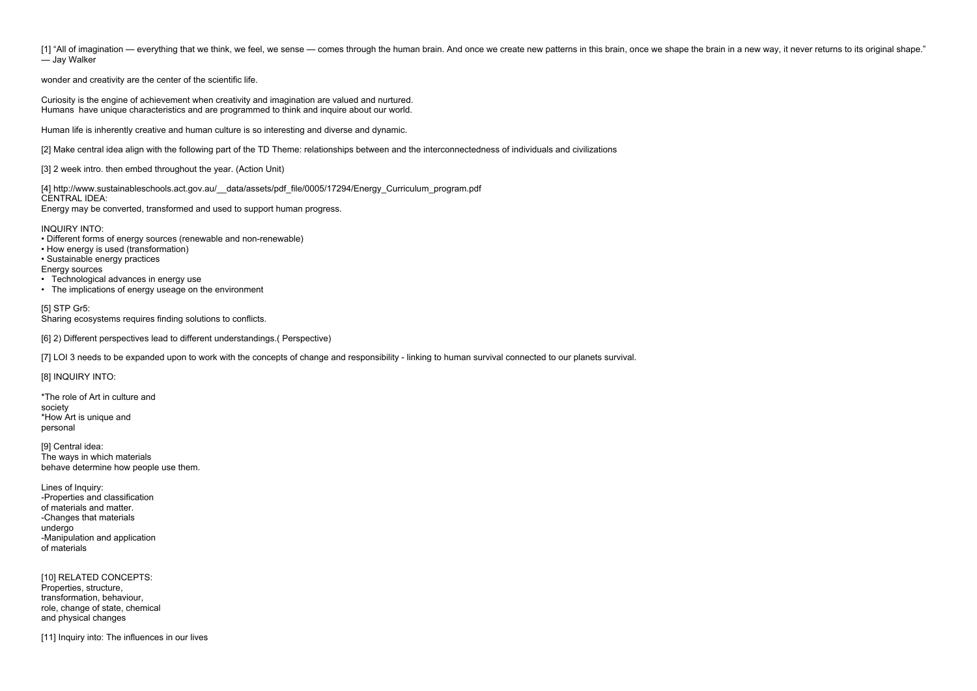[1] "All of imagination — everything that we think, we feel, we sense — comes through the human brain. And once we create new patterns in this brain, once we shape the brain in a new way, it never returns to its original s — Jay Walker

wonder and creativity are the center of the scientific life.

Curiosity is the engine of achievement when creativity and imagination are valued and nurtured. Humans have unique characteristics and are programmed to think and inquire about our world.

[4] http://www.sustainableschools.act.gov.au/ data/assets/pdf\_file/0005/17294/Energy\_Curriculum\_program.pdf CENTRAL IDEA:

Human life is inherently creative and human culture is so interesting and diverse and dynamic.

[2] Make central idea align with the following part of the TD Theme: relationships between and the interconnectedness of individuals and civilizations

[3] 2 week intro. then embed throughout the year. (Action Unit)

Energy may be converted, transformed and used to support human progress.

INQUIRY INTO:

- Different forms of energy sources (renewable and non-renewable)
- How energy is used (transformation)
- Sustainable energy practices

Energy sources

- Technological advances in energy use
- The implications of energy useage on the environment

## [5] STP Gr5:

Sharing ecosystems requires finding solutions to conflicts.

[6] 2) Different perspectives lead to different understandings.( Perspective)

[7] LOI 3 needs to be expanded upon to work with the concepts of change and responsibility - linking to human survival connected to our planets survival.

[8] INQUIRY INTO:

\*The role of Art in culture and society \*How Art is unique and personal

[9] Central idea: The ways in which materials behave determine how people use them.

Lines of Inquiry: -Properties and classification of materials and matter. -Changes that materials undergo -Manipulation and application of materials

[10] RELATED CONCEPTS: Properties, structure, transformation, behaviour, role, change of state, chemical and physical changes

[11] Inquiry into: The influences in our lives